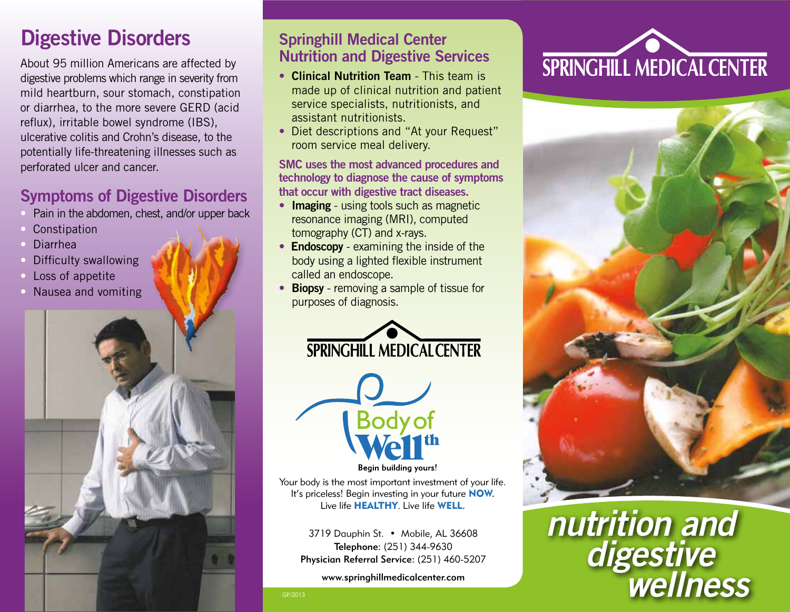### **Digestive Disorders Springhill Medical Center**

About 95 million Americans are affected by digestive problems which range in severity from mild heartburn, sour stomach, constipation or diarrhea, to the more severe GERD (acid reflux), irritable bowel syndrome (IBS), ulcerative colitis and Crohn's disease, to the potentially life-threatening illnesses such as perforated ulcer and cancer.

#### **Symptoms of Digestive Disorders**

- Pain in the abdomen, chest, and/or upper back
- **Constipation**
- Diarrhea
- Difficulty swallowing
- Loss of appetite
- Nausea and vomiting

# **Nutrition and Digestive Services**

- **Clinical Nutrition Team** This team is made up of clinical nutrition and patient service specialists, nutritionists, and assistant nutritionists.
- Diet descriptions and "At your Request" room service meal delivery.

#### **SMC uses the most advanced procedures and technology to diagnose the cause of symptoms that occur with digestive tract diseases.**

- **Imaging** using tools such as magnetic resonance imaging (MRI), computed tomography (CT) and x-rays.
- **Endoscopy** examining the inside of the body using a lighted flexible instrument called an endoscope.
- **Biopsy** removing a sample of tissue for purposes of diagnosis.





**Begin building yours!** 

Your body is the most important investment of your life. It's priceless! Begin investing in your future **NOW.** Live life HEALTHY. Live life WELL.

3719 Dauphin St. • Mobile, AL 36608 Telephone: (251) 344-9630 Physician Referral Service: (251) 460-5207

www.springhillmedicalcenter.com





## *nutrition and digestive Wellness*

GP/2013